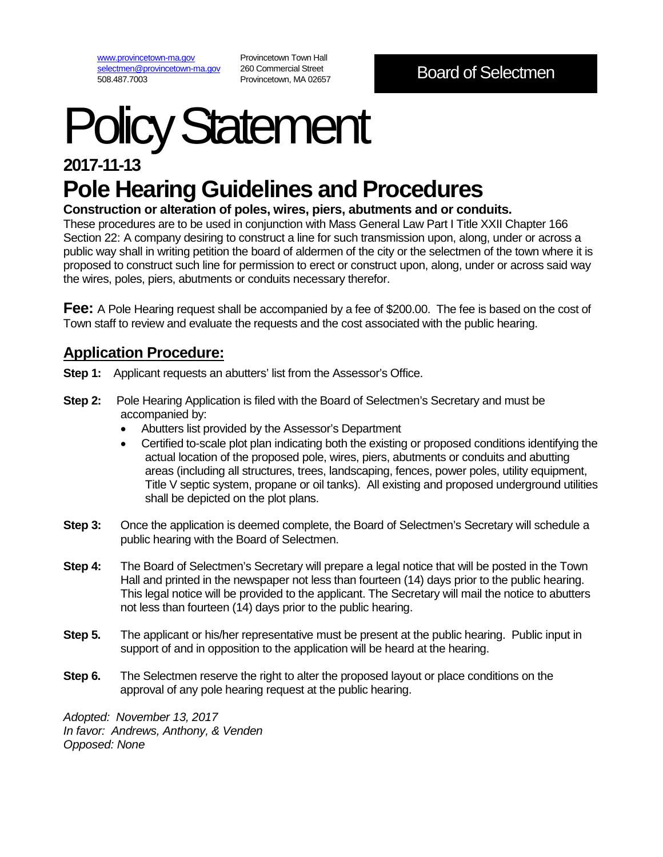[www.provincetown-ma.gov](http://www.provincetown-ma.gov/) [selectmen@provincetown-ma.gov](mailto:selectmen@provincetown-ma.gov) 508.487.7003

Provincetown Town Hall 260 Commercial Street Provincetown, MA 02657

# Policy Statement

## **2017-11-13 Pole Hearing Guidelines and Procedures**

## **Construction or alteration of poles, wires, piers, abutments and or conduits.**

These procedures are to be used in conjunction with Mass General Law Part I Title XXII Chapter 166 Section 22: A company desiring to construct a line for such transmission upon, along, under or across a public way shall in writing petition the board of aldermen of the city or the selectmen of the town where it is proposed to construct such line for permission to erect or construct upon, along, under or across said way the wires, poles, piers, abutments or conduits necessary therefor.

**Fee:** A Pole Hearing request shall be accompanied by a fee of \$200.00. The fee is based on the cost of Town staff to review and evaluate the requests and the cost associated with the public hearing.

## **Application Procedure:**

- **Step 1:** Applicant requests an abutters' list from the Assessor's Office.
- **Step 2:** Pole Hearing Application is filed with the Board of Selectmen's Secretary and must be accompanied by:
	- Abutters list provided by the Assessor's Department
	- Certified to-scale plot plan indicating both the existing or proposed conditions identifying the actual location of the proposed pole, wires, piers, abutments or conduits and abutting areas (including all structures, trees, landscaping, fences, power poles, utility equipment, Title V septic system, propane or oil tanks). All existing and proposed underground utilities shall be depicted on the plot plans.
- **Step 3:** Once the application is deemed complete, the Board of Selectmen's Secretary will schedule a public hearing with the Board of Selectmen.
- **Step 4:** The Board of Selectmen's Secretary will prepare a legal notice that will be posted in the Town Hall and printed in the newspaper not less than fourteen (14) days prior to the public hearing. This legal notice will be provided to the applicant. The Secretary will mail the notice to abutters not less than fourteen (14) days prior to the public hearing.
- **Step 5.** The applicant or his/her representative must be present at the public hearing. Public input in support of and in opposition to the application will be heard at the hearing.
- **Step 6.** The Selectmen reserve the right to alter the proposed layout or place conditions on the approval of any pole hearing request at the public hearing.

*Adopted: November 13, 2017 In favor: Andrews, Anthony, & Venden Opposed: None*